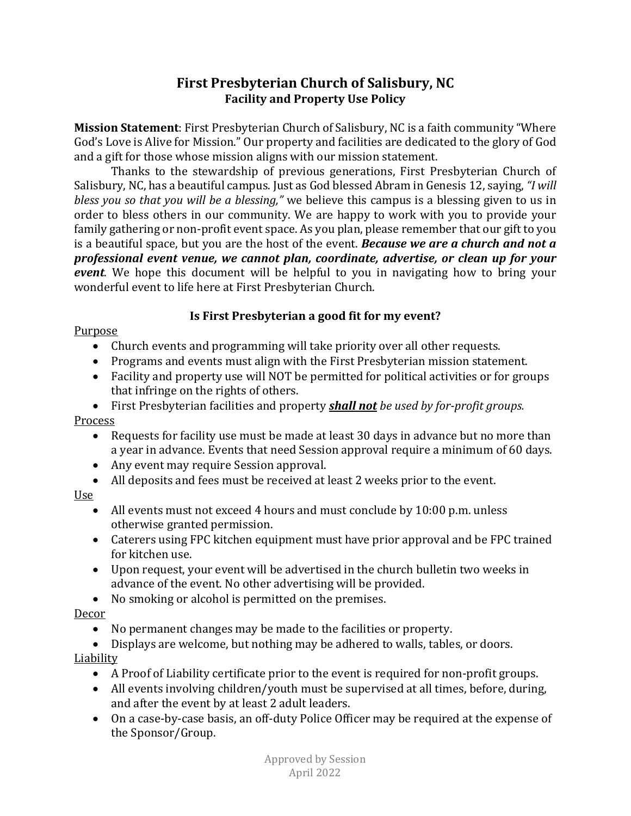# **First Presbyterian Church of Salisbury, NC Facility and Property Use Policy**

**Mission Statement**: First Presbyterian Church of Salisbury, NC is a faith community "Where God's Love is Alive for Mission." Our property and facilities are dedicated to the glory of God and a gift for those whose mission aligns with our mission statement.

Thanks to the stewardship of previous generations, First Presbyterian Church of Salisbury, NC, has a beautiful campus. Just as God blessed Abram in Genesis 12, saying, *"I will bless you so that you will be a blessing,"* we believe this campus is a blessing given to us in order to bless others in our community. We are happy to work with you to provide your family gathering or non-profit event space. As you plan, please remember that our gift to you is a beautiful space, but you are the host of the event. *Because we are a church and not a professional event venue, we cannot plan, coordinate, advertise, or clean up for your event.* We hope this document will be helpful to you in navigating how to bring your wonderful event to life here at First Presbyterian Church.

## **Is First Presbyterian a good fit for my event?**

#### Purpose

- Church events and programming will take priority over all other requests.
- Programs and events must align with the First Presbyterian mission statement.
- Facility and property use will NOT be permitted for political activities or for groups that infringe on the rights of others.
- First Presbyterian facilities and property *shall not be used by for-profit groups.*

#### Process

- Requests for facility use must be made at least 30 days in advance but no more than a year in advance. Events that need Session approval require a minimum of 60 days.
- Any event may require Session approval.
- All deposits and fees must be received at least 2 weeks prior to the event.

#### Use

- All events must not exceed 4 hours and must conclude by 10:00 p.m. unless otherwise granted permission.
- Caterers using FPC kitchen equipment must have prior approval and be FPC trained for kitchen use.
- Upon request, your event will be advertised in the church bulletin two weeks in advance of the event. No other advertising will be provided.
- No smoking or alcohol is permitted on the premises.

## Decor

- No permanent changes may be made to the facilities or property.
- Displays are welcome, but nothing may be adhered to walls, tables, or doors.

## Liability

- A Proof of Liability certificate prior to the event is required for non-profit groups.
- All events involving children/youth must be supervised at all times, before, during, and after the event by at least 2 adult leaders.
- On a case-by-case basis, an off-duty Police Officer may be required at the expense of the Sponsor/Group.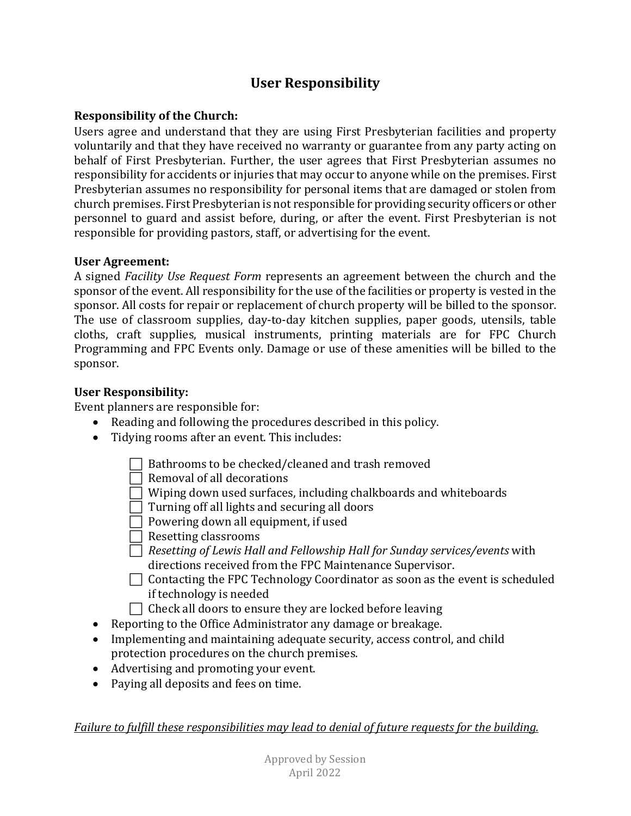# **User Responsibility**

#### **Responsibility of the Church:**

Users agree and understand that they are using First Presbyterian facilities and property voluntarily and that they have received no warranty or guarantee from any party acting on behalf of First Presbyterian. Further, the user agrees that First Presbyterian assumes no responsibility for accidents or injuries that may occur to anyone while on the premises. First Presbyterian assumes no responsibility for personal items that are damaged or stolen from church premises. First Presbyterian is not responsible for providing security officers or other personnel to guard and assist before, during, or after the event. First Presbyterian is not responsible for providing pastors, staff, or advertising for the event.

#### **User Agreement:**

A signed *Facility Use Request Form* represents an agreement between the church and the sponsor of the event. All responsibility for the use of the facilities or property is vested in the sponsor. All costs for repair or replacement of church property will be billed to the sponsor. The use of classroom supplies, day-to-day kitchen supplies, paper goods, utensils, table cloths, craft supplies, musical instruments, printing materials are for FPC Church Programming and FPC Events only. Damage or use of these amenities will be billed to the sponsor.

#### **User Responsibility:**

Event planners are responsible for:

- Reading and following the procedures described in this policy.
- Tidying rooms after an event. This includes:
	- $\Box$  Bathrooms to be checked/cleaned and trash removed
	- $\Box$  Removal of all decorations
	- $\Box$  Wiping down used surfaces, including chalkboards and whiteboards
	- $\Box$  Turning off all lights and securing all doors
	- Powering down all equipment, if used
	- $\Box$  Resetting classrooms
	- *Resetting of Lewis Hall and Fellowship Hall for Sunday services/events* with directions received from the FPC Maintenance Supervisor.
	- $\Box$  Contacting the FPC Technology Coordinator as soon as the event is scheduled if technology is needed
	- $\Box$  Check all doors to ensure they are locked before leaving
- Reporting to the Office Administrator any damage or breakage.
- Implementing and maintaining adequate security, access control, and child protection procedures on the church premises.
- Advertising and promoting your event.
- Paying all deposits and fees on time.

*Failure to fulfill these responsibilities may lead to denial of future requests for the building.*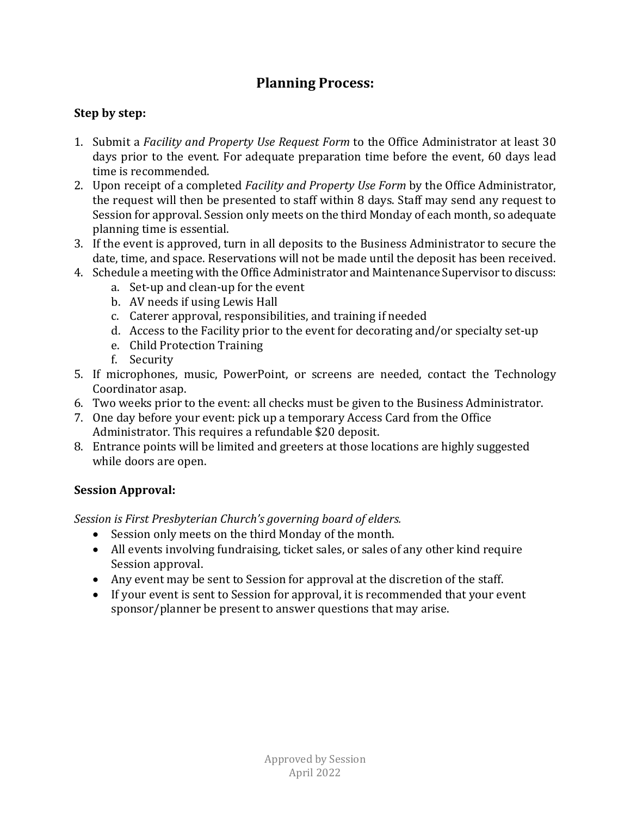# **Planning Process:**

### **Step by step:**

- 1. Submit a *Facility and Property Use Request Form* to the Office Administrator at least 30 days prior to the event. For adequate preparation time before the event, 60 days lead time is recommended.
- 2. Upon receipt of a completed *Facility and Property Use Form* by the Office Administrator, the request will then be presented to staff within 8 days. Staff may send any request to Session for approval. Session only meets on the third Monday of each month, so adequate planning time is essential.
- 3. If the event is approved, turn in all deposits to the Business Administrator to secure the date, time, and space. Reservations will not be made until the deposit has been received.
- 4. Schedule a meeting with the Office Administrator and Maintenance Supervisor to discuss:
	- a. Set-up and clean-up for the event
	- b. AV needs if using Lewis Hall
	- c. Caterer approval, responsibilities, and training if needed
	- d. Access to the Facility prior to the event for decorating and/or specialty set-up
	- e. Child Protection Training
	- f. Security
- 5. If microphones, music, PowerPoint, or screens are needed, contact the Technology Coordinator asap.
- 6. Two weeks prior to the event: all checks must be given to the Business Administrator.
- 7. One day before your event: pick up a temporary Access Card from the Office Administrator. This requires a refundable \$20 deposit.
- 8. Entrance points will be limited and greeters at those locations are highly suggested while doors are open.

## **Session Approval:**

*Session is First Presbyterian Church's governing board of elders.*

- Session only meets on the third Monday of the month.
- All events involving fundraising, ticket sales, or sales of any other kind require Session approval.
- Any event may be sent to Session for approval at the discretion of the staff.
- If your event is sent to Session for approval, it is recommended that your event sponsor/planner be present to answer questions that may arise.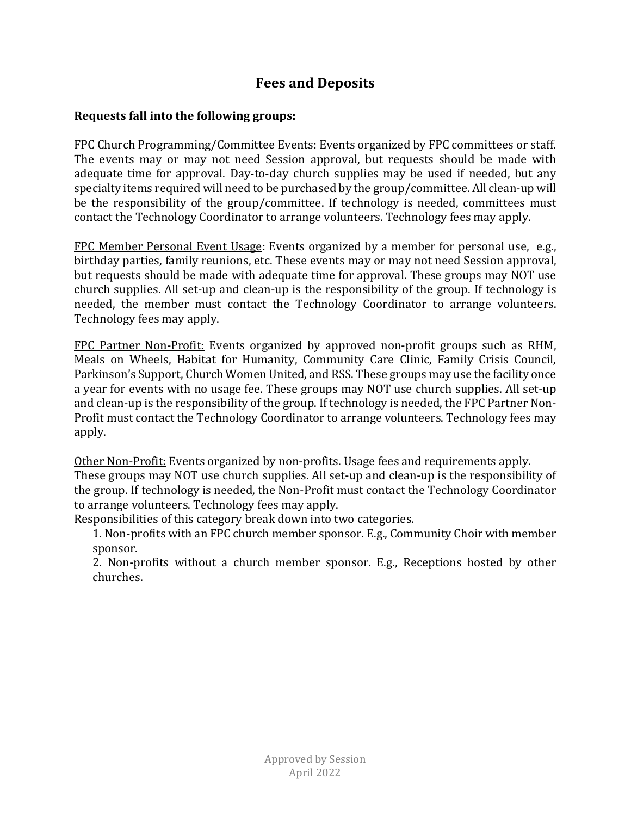# **Fees and Deposits**

#### **Requests fall into the following groups:**

FPC Church Programming/Committee Events: Events organized by FPC committees or staff. The events may or may not need Session approval, but requests should be made with adequate time for approval. Day-to-day church supplies may be used if needed, but any specialty items required will need to be purchased by the group/committee. All clean-up will be the responsibility of the group/committee. If technology is needed, committees must contact the Technology Coordinator to arrange volunteers. Technology fees may apply.

FPC Member Personal Event Usage: Events organized by a member for personal use, e.g., birthday parties, family reunions, etc. These events may or may not need Session approval, but requests should be made with adequate time for approval. These groups may NOT use church supplies. All set-up and clean-up is the responsibility of the group. If technology is needed, the member must contact the Technology Coordinator to arrange volunteers. Technology fees may apply.

FPC Partner Non-Profit: Events organized by approved non-profit groups such as RHM, Meals on Wheels, Habitat for Humanity, Community Care Clinic, Family Crisis Council, Parkinson's Support, Church Women United, and RSS. These groups may use the facility once a year for events with no usage fee. These groups may NOT use church supplies. All set-up and clean-up is the responsibility of the group. If technology is needed, the FPC Partner Non-Profit must contact the Technology Coordinator to arrange volunteers. Technology fees may apply.

Other Non-Profit: Events organized by non-profits. Usage fees and requirements apply. These groups may NOT use church supplies. All set-up and clean-up is the responsibility of the group. If technology is needed, the Non-Profit must contact the Technology Coordinator to arrange volunteers. Technology fees may apply.

Responsibilities of this category break down into two categories.

1. Non-profits with an FPC church member sponsor. E.g., Community Choir with member sponsor.

2. Non-profits without a church member sponsor. E.g., Receptions hosted by other churches.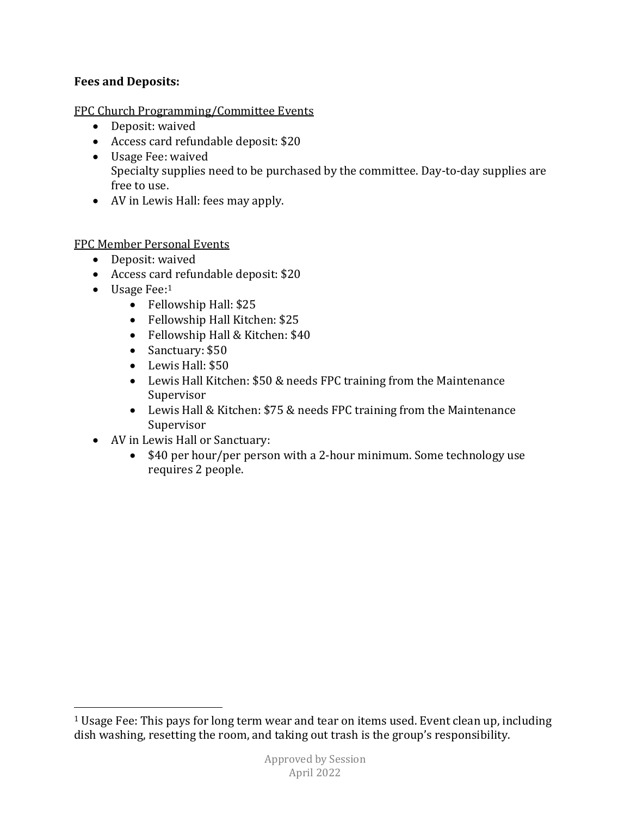#### **Fees and Deposits:**

#### FPC Church Programming/Committee Events

- Deposit: waived
- Access card refundable deposit: \$20
- Usage Fee: waived Specialty supplies need to be purchased by the committee. Day-to-day supplies are free to use.
- AV in Lewis Hall: fees may apply.

#### FPC Member Personal Events

- Deposit: waived
- Access card refundable deposit: \$20
- $\bullet$  Usage Fee:<sup>1</sup>

 $\overline{a}$ 

- Fellowship Hall: \$25
- Fellowship Hall Kitchen: \$25
- Fellowship Hall & Kitchen: \$40
- Sanctuary: \$50
- Lewis Hall: \$50
- Lewis Hall Kitchen: \$50 & needs FPC training from the Maintenance Supervisor
- Lewis Hall & Kitchen: \$75 & needs FPC training from the Maintenance Supervisor
- AV in Lewis Hall or Sanctuary:
	- \$40 per hour/per person with a 2-hour minimum. Some technology use requires 2 people.

<span id="page-4-0"></span><sup>&</sup>lt;sup>1</sup> Usage Fee: This pays for long term wear and tear on items used. Event clean up, including dish washing, resetting the room, and taking out trash is the group's responsibility.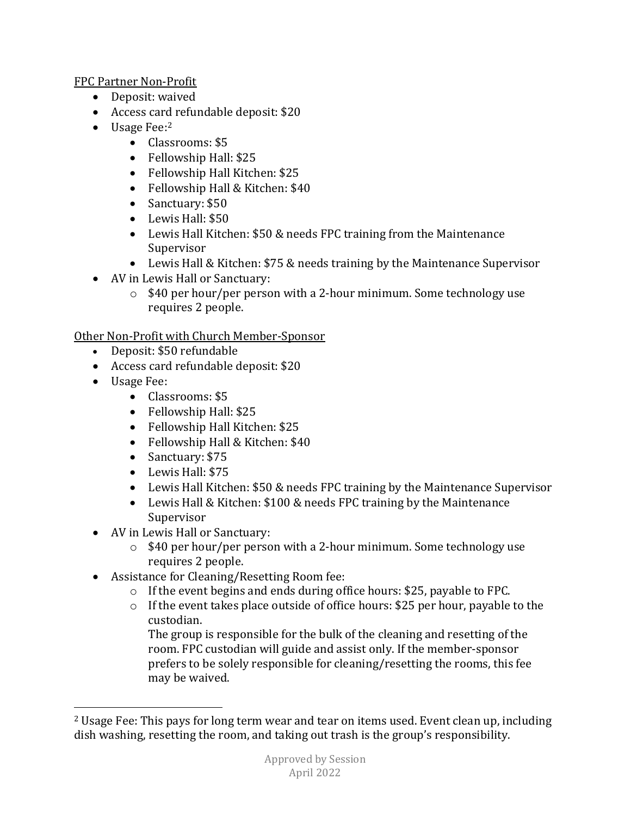FPC Partner Non-Profit

- Deposit: waived
- Access card refundable deposit: \$20
- Usage Fee:<sup>2</sup>
	- Classrooms: \$5
	- Fellowship Hall: \$25
	- Fellowship Hall Kitchen: \$25
	- Fellowship Hall & Kitchen: \$40
	- Sanctuary: \$50
	- Lewis Hall: \$50
	- Lewis Hall Kitchen: \$50 & needs FPC training from the Maintenance Supervisor
	- Lewis Hall & Kitchen: \$75 & needs training by the Maintenance Supervisor
- AV in Lewis Hall or Sanctuary:
	- o \$40 per hour/per person with a 2-hour minimum. Some technology use requires 2 people.

Other Non-Profit with Church Member-Sponsor

- Deposit: \$50 refundable
- Access card refundable deposit: \$20
- Usage Fee:

 $\overline{a}$ 

- Classrooms: \$5
- Fellowship Hall: \$25
- Fellowship Hall Kitchen: \$25
- Fellowship Hall & Kitchen: \$40
- Sanctuary: \$75
- Lewis Hall: \$75
- Lewis Hall Kitchen: \$50 & needs FPC training by the Maintenance Supervisor
- Lewis Hall & Kitchen: \$100 & needs FPC training by the Maintenance Supervisor
- AV in Lewis Hall or Sanctuary:
	- o \$40 per hour/per person with a 2-hour minimum. Some technology use requires 2 people.
- Assistance for Cleaning/Resetting Room fee:
	- o If the event begins and ends during office hours: \$25, payable to FPC.
	- o If the event takes place outside of office hours: \$25 per hour, payable to the custodian.

The group is responsible for the bulk of the cleaning and resetting of the room. FPC custodian will guide and assist only. If the member-sponsor prefers to be solely responsible for cleaning/resetting the rooms, this fee may be waived.

<span id="page-5-0"></span><sup>2</sup> Usage Fee: This pays for long term wear and tear on items used. Event clean up, including dish washing, resetting the room, and taking out trash is the group's responsibility.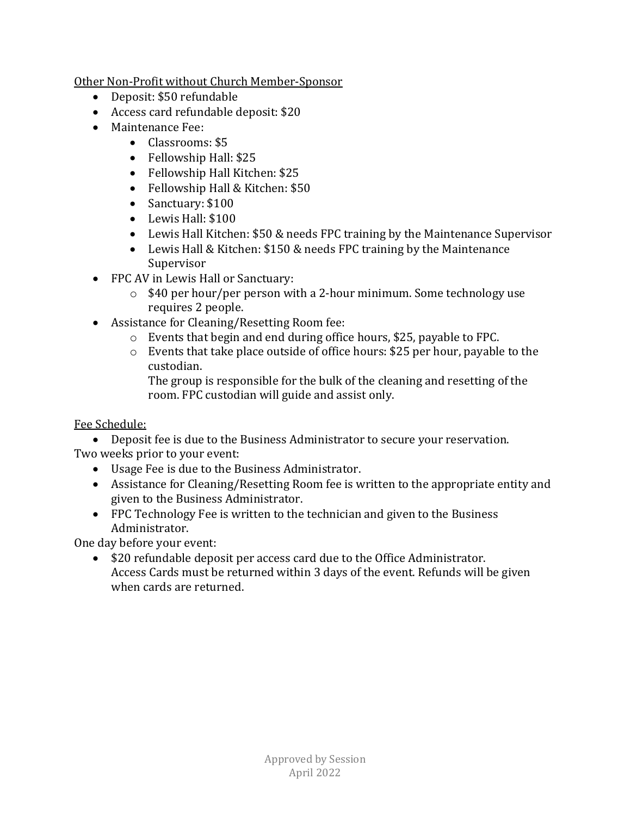Other Non-Profit without Church Member-Sponsor

- Deposit: \$50 refundable
- Access card refundable deposit: \$20
- Maintenance Fee:
	- Classrooms: \$5
	- Fellowship Hall: \$25
	- Fellowship Hall Kitchen: \$25
	- Fellowship Hall & Kitchen: \$50
	- Sanctuary: \$100
	- Lewis Hall: \$100
	- Lewis Hall Kitchen: \$50 & needs FPC training by the Maintenance Supervisor
	- Lewis Hall & Kitchen: \$150 & needs FPC training by the Maintenance Supervisor
- FPC AV in Lewis Hall or Sanctuary:
	- o \$40 per hour/per person with a 2-hour minimum. Some technology use requires 2 people.
- Assistance for Cleaning/Resetting Room fee:
	- o Events that begin and end during office hours, \$25, payable to FPC.
	- o Events that take place outside of office hours: \$25 per hour, payable to the custodian.

The group is responsible for the bulk of the cleaning and resetting of the room. FPC custodian will guide and assist only.

#### Fee Schedule:

• Deposit fee is due to the Business Administrator to secure your reservation. Two weeks prior to your event:

- Usage Fee is due to the Business Administrator.
- Assistance for Cleaning/Resetting Room fee is written to the appropriate entity and given to the Business Administrator.
- FPC Technology Fee is written to the technician and given to the Business Administrator.

One day before your event:

• \$20 refundable deposit per access card due to the Office Administrator. Access Cards must be returned within 3 days of the event. Refunds will be given when cards are returned.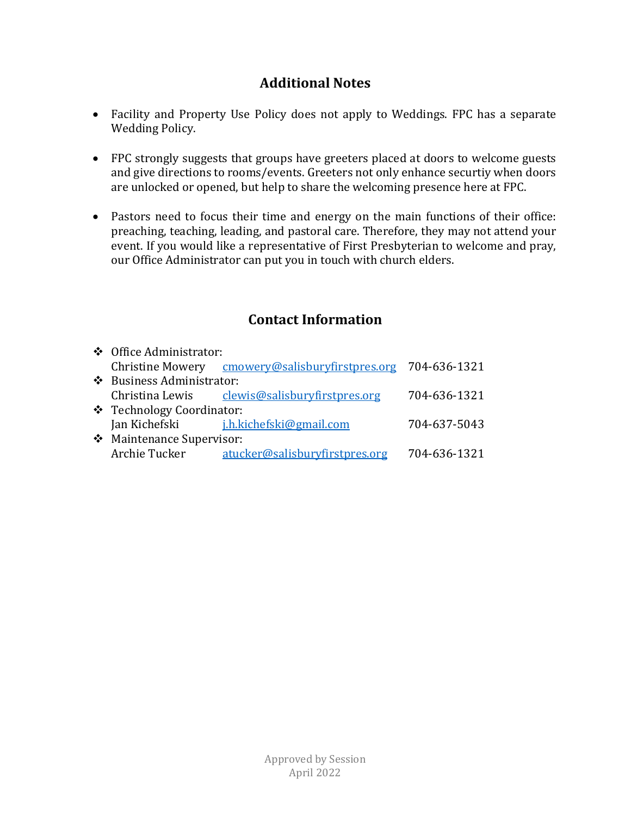# **Additional Notes**

- Facility and Property Use Policy does not apply to Weddings. FPC has a separate Wedding Policy.
- FPC strongly suggests that groups have greeters placed at doors to welcome guests and give directions to rooms/events. Greeters not only enhance securtiy when doors are unlocked or opened, but help to share the welcoming presence here at FPC.
- Pastors need to focus their time and energy on the main functions of their office: preaching, teaching, leading, and pastoral care. Therefore, they may not attend your event. If you would like a representative of First Presbyterian to welcome and pray, our Office Administrator can put you in touch with church elders.

# **Contact Information**

| ❖ Office Administrator:   |                                                              |              |
|---------------------------|--------------------------------------------------------------|--------------|
|                           | Christine Mowery cmowery@salisburyfirstpres.org 704-636-1321 |              |
| ❖ Business Administrator: |                                                              |              |
|                           | Christina Lewis clewis@salisburyfirstpres.org                | 704-636-1321 |
| ❖ Technology Coordinator: |                                                              |              |
|                           | Jan Kichefski <i>j.h.kichefski@gmail.com</i>                 | 704-637-5043 |
| ❖ Maintenance Supervisor: |                                                              |              |
| Archie Tucker             | atucker@salisburyfirstpres.org                               | 704-636-1321 |
|                           |                                                              |              |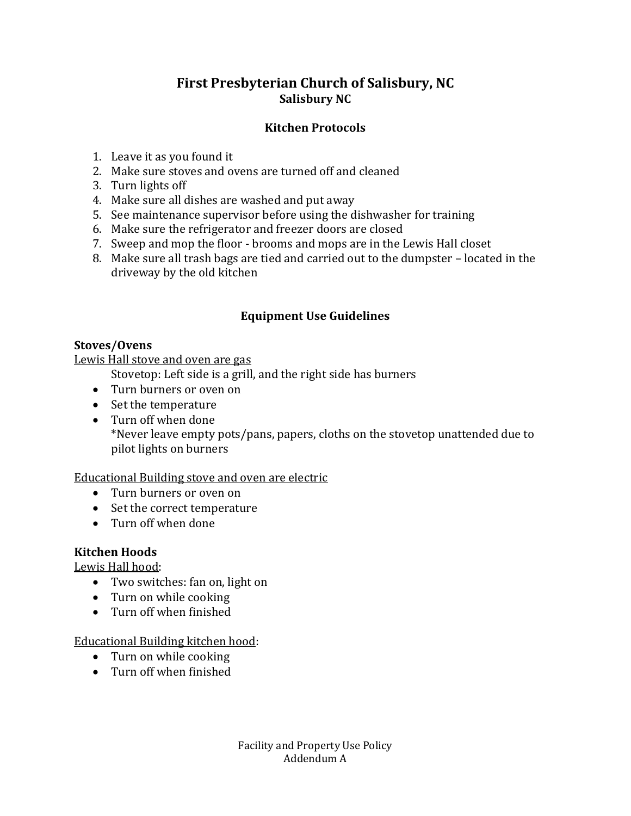# **First Presbyterian Church of Salisbury, NC Salisbury NC**

#### **Kitchen Protocols**

- 1. Leave it as you found it
- 2. Make sure stoves and ovens are turned off and cleaned
- 3. Turn lights off
- 4. Make sure all dishes are washed and put away
- 5. See maintenance supervisor before using the dishwasher for training
- 6. Make sure the refrigerator and freezer doors are closed
- 7. Sweep and mop the floor brooms and mops are in the Lewis Hall closet
- 8. Make sure all trash bags are tied and carried out to the dumpster located in the driveway by the old kitchen

#### **Equipment Use Guidelines**

#### **Stoves/Ovens**

Lewis Hall stove and oven are gas

Stovetop: Left side is a grill, and the right side has burners

- Turn burners or oven on
- Set the temperature
- Turn off when done \*Never leave empty pots/pans, papers, cloths on the stovetop unattended due to pilot lights on burners

#### Educational Building stove and oven are electric

- Turn burners or oven on
- Set the correct temperature
- Turn off when done

#### **Kitchen Hoods**

Lewis Hall hood:

- Two switches: fan on, light on
- Turn on while cooking
- Turn off when finished

#### Educational Building kitchen hood:

- Turn on while cooking
- Turn off when finished

Facility and Property Use Policy Addendum A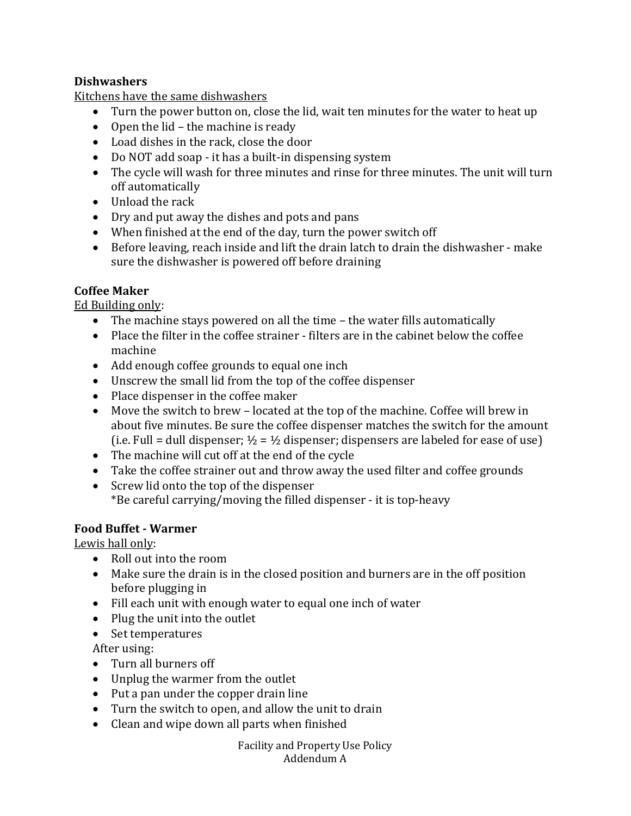#### **Dishwashers**

Kitchens have the same dishwashers

- Turn the power button on, close the lid, wait ten minutes for the water to heat up
- Open the lid the machine is ready
- Load dishes in the rack, close the door
- Do NOT add soap it has a built-in dispensing system
- The cycle will wash for three minutes and rinse for three minutes. The unit will turn off automatically
- Unload the rack
- Dry and put away the dishes and pots and pans
- When finished at the end of the day, turn the power switch off
- Before leaving, reach inside and lift the drain latch to drain the dishwasher make sure the dishwasher is powered off before draining

#### **Coffee Maker**

Ed Building only:

- The machine stays powered on all the time the water fills automatically
- Place the filter in the coffee strainer filters are in the cabinet below the coffee machine
- Add enough coffee grounds to equal one inch
- Unscrew the small lid from the top of the coffee dispenser
- Place dispenser in the coffee maker
- Move the switch to brew located at the top of the machine. Coffee will brew in about five minutes. Be sure the coffee dispenser matches the switch for the amount (i.e. Full = dull dispenser;  $\frac{1}{2}$  =  $\frac{1}{2}$  dispenser; dispensers are labeled for ease of use)
- The machine will cut off at the end of the cycle
- Take the coffee strainer out and throw away the used filter and coffee grounds
- Screw lid onto the top of the dispenser \*Be careful carrying/moving the filled dispenser - it is top-heavy

#### **Food Buffet - Warmer**

Lewis hall only:

- Roll out into the room
- Make sure the drain is in the closed position and burners are in the off position before plugging in
- Fill each unit with enough water to equal one inch of water
- Plug the unit into the outlet
- Set temperatures

After using:

- Turn all burners off
- Unplug the warmer from the outlet
- Put a pan under the copper drain line
- Turn the switch to open, and allow the unit to drain
- Clean and wipe down all parts when finished

Facility and Property Use Policy Addendum A